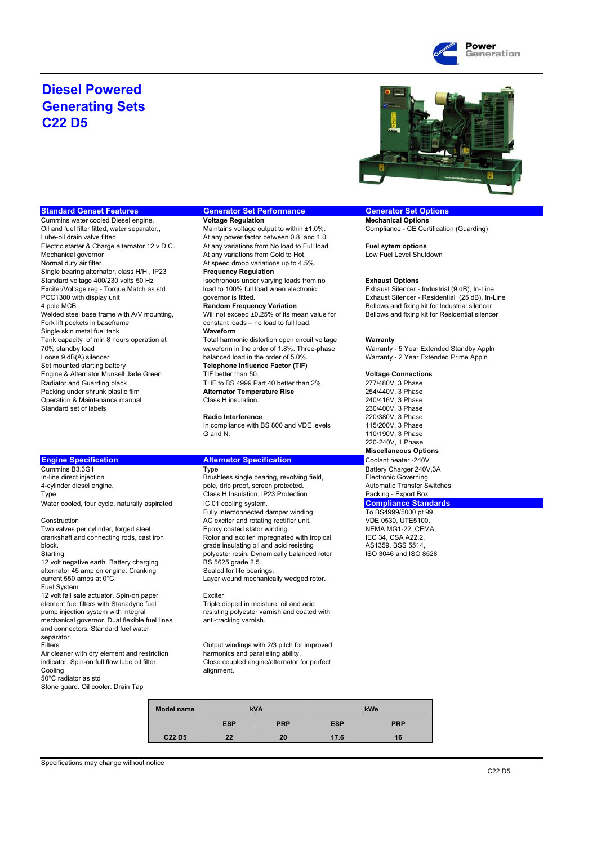

### **Diesel Powered Generating Sets C22 D5**



Lube-oil drain valve fitted **At any power factor between 0.8 and 1.0**<br>Flectric starter & Charge alternator 12 v D C At any variations from No load to Full load Electric starter & Charge alternator 12 v D.C. At any variations from No load to Full load. **Fuel sytem options**<br>Mechanical governor **At any variations from Cold to Hot.** Low Fuel Level Shute Normal duty air filter **At speed droop variations up to 4.5%**. Single bearing alternator, class H/H , IP23 **Frequency Regulation** Standard voltage 400/230 volts 50 Hz<br>
Exciter/Voltage reg - Torque Match as std **Isochronous under varying loads from no** Exhaust Silencer -Exciter/Voltage reg - Torque Match as std load to 100% full load when electronic Exhaust Silencer - Industrial (9 dB), In-Line<br>PCC1300 with display unit contract to the governor is fitted. Exhaust Silencer - Residential (2 4 pole MCB **Random Frequency Variation** Bellows and fixing kit for Industrial silencer<br>Will not exceed ±0.25% of its mean value for **Bellows and fixing kit for Residential silence** Fork lift pockets in baseframe constant loads – no load to full load. Single skin metal fuel tank **Waveform** Tank capacity of min 8 hours operation at Total harmonic distortion open circuit voltage **Warranty** 70% standby load waveform in the order of 1.8%. Three-phase Warranty - 5 Year Extended Standby Appln Set mounted starting battery **Telephone Influence Factor (TIF)** Engine & Alternator Munsell Jade Green TIF better than 50. **Voltage Connections**<br>
TRF to BS 4999 Part 40 better than 2%. 277/480V, 3 Phase Packing under shrunk plastic film **Alternator Temperature Rise** 254/440V, 3 Phase<br>
240/416V, 3 Phase<br>
240/416V, 3 Phase Operation & Maintenance manual Standard set of labels 230/400V, 3 Phase

### **Engine Specification Alternator Specification Coolant heater -240V** Coolant heater -240V

Cummins B3.3G1 Type Type Battery Charger 240V,3A In-line direct injection and the Brushless single bearing, revolving field, Electronic Governing<br>
1-cylinder diesel engine.<br>
1-cylinder diesel engine.<br>
2-cylinder diesel engine. 4-cylinder diesel engine. pole, drip proof, screen protected. Type **Class H** Insulation, IP23 Protection **Packing - Export Box** 

12 volt negative earth. Battery charging BS 5625 grade 2.5. alternator 45 amp on engine. Cranking Sealed for life bearings current 550 amps at 0°C. The state of the Layer wound mechanically wedged rotor. Fuel System 12 volt fail safe actuator. Spin-on paper Exciter

element fuel filters with Stanadyne fuel Triple dipped in moisture, oil and acid<br>
pump injection system with integral entity are resisting polyester varnish and coated mechanical governor. Dual flexible fuel lines and connectors. Standard fuel water separator.<br>Filters

Air cleaner with dry element and restriction indicator. Spin-on full flow lube oil filter. Cooling and Cooling and Cooling and Cooling and Cooling and Cooling and Cooling and Cooling and Cooling and Cooling and Cooling and Cooling and Cooling and Cooling and Cooling and Cooling and Cooling and Cooling and Coolin 50°C radiator as std Stone guard. Oil cooler. Drain Tap

**Standard Genset Features Generator Set Performance Generator Set Options**<br>Cummins water cooled Diesel engine. **Cultum** Voltage Regulation Cummins water and all options Cummins water cooled Diesel engine, **Voltage Regulation Mechanical Options**<br>
Oil and fuel filter fitted, water separator, Maintains voltage output to within ±1.0%. Compliance - CE Certification (Guarding) Maintains voltage output to within  $±1.0\%$ . At any variations from Cold to Hot. Low Fuel Level Shutdown Will not exceed ±0.25% of its mean value for Bellows and fixing kit for Residential silencer

THF to BS 4999 Part 40 better than 2%. 277/480V, 3 Phase<br>
Alternator Temperature Rise 254/440V, 3 Phase

In compliance with BS 800 and VDE levels 115/200V, 3 Phase<br>G and N. 110/190V, 3 Phase

Water cooled, four cycle, naturally aspirated IC 01 cooling system.<br>Fully interconnected damper winding. To BS4999/5000 pt 99, Fully interconnected damper winding.<br>
AC exciter and rotating rectifier unit. 
WDE 0530, UTE5100, Construction AC exciter and rotating rectifier unit. Two valves per cylinder, forged steel Epoxy coated stator winding. NEMA MG1-22, CEMA, crankshaft and connecting rods, cast iron Rotor and exciter impregnated with tropical IEC 34, CSA A22.2,<br>
Rotor and exciter impregnated with tropical IEC 34, CSA A22.2,<br>
RSS 5514 block. grade insulating oil and acid resisting AS1359, BSS 5514, polyester resin. Dynamically balanced rotor

resisting polyester varnish and coated with<br>anti-tracking varnish.

Output windings with 2/3 pitch for improved<br>harmonics and paralleling ability. Close coupled engine/alternator for perfect

| Model name                     | <b>kVA</b> |            | kWe        |            |
|--------------------------------|------------|------------|------------|------------|
|                                | <b>ESP</b> | <b>PRP</b> | <b>ESP</b> | <b>PRP</b> |
| C <sub>22</sub> D <sub>5</sub> | 22         | 20         | 17.6       | 16         |

PCC1300 with display unit **product of the set of the set of the set of the set of the set of the set of the set of the set of the set of the set of the set of the set of the set of the set of the set of the set of the set** 

Warranty - 2 Year Extended Prime Appln

**Radio Interference** 220/380V, 3 Phase 110/190V, 3 Phase 220-240V, 1 Phase **Miscellaneous Options**